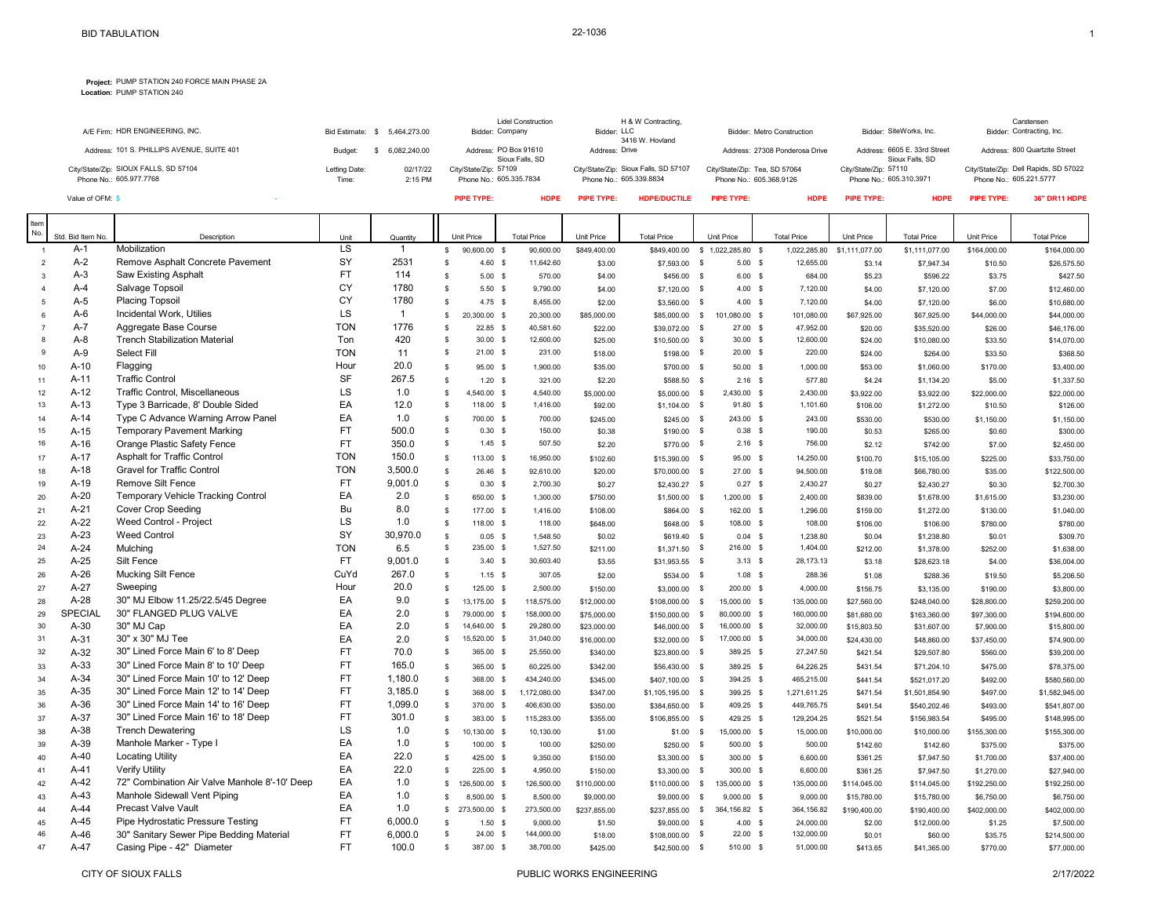## **Project:** PUMP STATION 240 FORCE MAIN PHASE 2A **Location:** PUMP STATION 240

| A/F Firm: HDR ENGINEERING. INC.                                  |                        | Bid Estimate: \$ 5.464.273.00 | Bidder: Company                          | <b>Lidel Construction</b> | Bidder: LLC    | H & W Contracting.<br>3416 W. Hovland                            | <b>Bidder: Metro Construction</b>                        |             | Bidder: SiteWorks, Inc.                          |                 |                         | Carstensen<br>Bidder: Contracting, Inc. |
|------------------------------------------------------------------|------------------------|-------------------------------|------------------------------------------|---------------------------|----------------|------------------------------------------------------------------|----------------------------------------------------------|-------------|--------------------------------------------------|-----------------|-------------------------|-----------------------------------------|
| Address: 101 S. PHILLIPS AVENUE, SUITE 401                       | Budget:                | 6.082.240.00                  | Address: PO Box 91610<br>Sioux Falls, SD |                           | Address: Drive |                                                                  | Address: 27308 Ponderosa Drive                           |             | Address: 6605 E. 33rd Street                     | Sioux Falls, SD |                         | Address: 800 Quartzite Street           |
| City/State/Zip: SIOUX FALLS, SD 57104<br>Phone No.: 605.977.7768 | Letting Date:<br>Time: | 02/17/22<br>2:15 PM           | City/State/Zip: 57109                    | Phone No.: 605.335.7834   |                | City/State/Zip: Sioux Falls, SD 57107<br>Phone No.: 605.339.8834 | City/State/Zip: Tea, SD 57064<br>Phone No.: 605.368.9126 |             | City/State/Zip: 57110<br>Phone No.: 605.310.3971 |                 | Phone No.: 605.221.5777 | City/State/Zip: Dell Rapids, SD 57022   |
| Value of OFM: \$                                                 |                        |                               | <b>PIPE TYPE:</b>                        | <b>HDPE</b>               | PIPE TYPE:     | <b>HDPE/DUCTILE</b>                                              | <b>PIPE TYPE:</b>                                        | <b>HDPE</b> | PIPE TYPE:                                       | <b>HDPE</b>     | <b>PIPE TYPE:</b>       | 36" DR11 HDPE                           |

| Item           |                   |                                               |            |                |              |                   |                    |              |                                |              |                   |                    |                             |                    |              |                    |
|----------------|-------------------|-----------------------------------------------|------------|----------------|--------------|-------------------|--------------------|--------------|--------------------------------|--------------|-------------------|--------------------|-----------------------------|--------------------|--------------|--------------------|
| No.            | Std. Bid Item No. | Description                                   | Unit       | Quantity       |              | Unit Price        | <b>Total Price</b> | Unit Price   | <b>Total Price</b>             |              | Unit Price        | <b>Total Price</b> | Unit Price                  | <b>Total Price</b> | Unit Price   | <b>Total Price</b> |
| $\overline{1}$ | $A-1$             | Mobilization                                  | LS         | $\overline{1}$ | s.           | 90,600.00 \$      | 90,600.00          | \$849,400.00 | \$849,400.00 \$1,022,285.80 \$ |              |                   |                    | 1,022,285.80 \$1,111,077.00 | \$1,111,077.00     | \$164,000.00 | \$164,000.00       |
| $\overline{2}$ | $A-2$             | Remove Asphalt Concrete Pavement              | SY         | 2531           | $\mathbf{s}$ | 4.60 S            | 11,642.60          | \$3.00       | \$7,593.00 \$                  |              | $5.00$ \$         | 12,655.00          | \$3.14                      | \$7.947.34         | \$10.50      | \$26,575.50        |
| 3              | $A-3$             | <b>Saw Existing Asphalt</b>                   | <b>FT</b>  | 114            | <b>s</b>     | 5.00 S            | 570.00             | \$4.00       | \$456.00 \$                    |              | 6.00%             | 684.00             | \$5.23                      | \$596.22           | \$3.75       | \$427.50           |
| $\Delta$       | $A - 4$           | Salvage Topsoil                               | CY         | 1780           | $\mathbf{s}$ | $5.50$ \$         | 9,790.00           | \$4.00       | \$7,120.00 \$                  |              | $4.00$ \$         | 7,120.00           | \$4.00                      | \$7,120.00         | \$7.00       | \$12,460.00        |
| 5              | $A-5$             | <b>Placing Topsoil</b>                        | CY         | 1780           | $\mathbf{s}$ | $4.75$ \$         | 8,455.00           | \$2.00       | \$3,560.00 \$                  |              | $4.00$ \$         | 7,120.00           | \$4.00                      | \$7,120.00         | \$6.00       | \$10,680.00        |
| 6              | $A-6$             | Incidental Work, Utilies                      | LS         | $\overline{1}$ | $\mathbf{s}$ | 20,300.00 \$      | 20,300.00          | \$85,000.00  | \$85,000.00 \$                 |              | 101,080.00 \$     | 101,080.00         | \$67,925.00                 | \$67,925.00        | \$44,000.00  | \$44,000.00        |
| $\overline{7}$ | $A-7$             | Aggregate Base Course                         | <b>TON</b> | 1776           | $\mathbf{s}$ | $22.85$ \$        | 40.581.60          | \$22.00      | \$39,072.00 \$                 |              | 27.00 \$          | 47,952.00          | \$20.00                     | \$35,520.00        | \$26.00      | \$46,176.00        |
| -8             | $A-8$             | <b>Trench Stabilization Material</b>          | Ton        | 420            | $\mathbf{s}$ | $30.00$ \$        | 12,600.00          | \$25.00      | \$10,500.00 \$                 |              | $30.00$ \$        | 12,600.00          | \$24.00                     | \$10,080.00        | \$33.50      | \$14,070.00        |
| 9              | $A-9$             | Select Fill                                   | <b>TON</b> | 11             | <b>s</b>     | $21.00$ \$        | 231.00             | \$18.00      | $$198.00$ \$                   |              | $20.00$ \$        | 220.00             | \$24.00                     | \$264.00           | \$33.50      | \$368.50           |
| 10             | $A-10$            | Flagging                                      | Hour       | 20.0           | $\mathbf{s}$ | 95.00 \$          | 1,900.00           | \$35.00      | \$700.00 \$                    |              | $50.00$ \$        | 1,000.00           | \$53.00                     | \$1,060.00         | \$170.00     | \$3,400.00         |
| 11             | $A-11$            | <b>Traffic Control</b>                        | <b>SF</b>  | 267.5          | $\mathbf{s}$ | $1.20$ \$         | 321.00             | \$2.20       | \$588.50 \$                    |              | $2.16$ \$         | 577.80             | \$4.24                      | \$1,134.20         | \$5.00       | \$1,337.50         |
| 12             | $A-12$            | Traffic Control, Miscellaneous                | LS         | 1.0            | <b>s</b>     | 4,540.00 \$       | 4,540.00           | \$5,000.00   | \$5,000.00                     | $\mathbb{S}$ | 2,430.00 \$       | 2,430.00           | \$3,922.00                  | \$3,922.00         | \$22,000.00  | \$22,000.00        |
| 13             | $A-13$            | Type 3 Barricade, 8' Double Sided             | EA         | 12.0           | <b>s</b>     | 118.00 \$         | 1,416.00           | \$92.00      | $$1,104.00$ \$                 |              | 91.80 \$          | 1,101.60           | \$106.00                    | \$1,272.00         | \$10.50      | \$126.00           |
| 14             | $A-14$            | Type C Advance Warning Arrow Panel            | EA         | 1.0            | <b>s</b>     | 700.00 \$         | 700.00             | \$245.00     | \$245.00 \$                    |              | 243.00 \$         | 243.00             | \$530.00                    | \$530.00           | \$1,150.00   | \$1,150.00         |
| 15             | $A-15$            | <b>Temporary Pavement Marking</b>             | <b>FT</b>  | 500.0          | <b>s</b>     | 0.30 <sup>5</sup> | 150.00             | \$0.38       | \$190.00 \$                    |              | 0.38 <sup>5</sup> | 190.00             | \$0.53                      | \$265.00           | \$0.60       | \$300.00           |
| 16             | A-16              | Orange Plastic Safety Fence                   | <b>FT</b>  | 350.0          | $\mathbb{S}$ | $1.45$ \$         | 507.50             | \$2.20       | \$770.00 \$                    |              | $2.16$ \$         | 756.00             | \$2.12                      | \$742.00           | \$7.00       | \$2,450.00         |
| 17             | $A-17$            | Asphalt for Traffic Control                   | <b>TON</b> | 150.0          | <b>s</b>     | 113.00 \$         | 16,950.00          | \$102.60     | \$15,390.00 \$                 |              | 95.00 \$          | 14,250.00          | \$100.70                    | \$15,105.00        | \$225.00     | \$33,750.00        |
| 18             | A-18              | Gravel for Traffic Control                    | <b>TON</b> | 3,500.0        | s            | 26.46 \$          | 92,610.00          | \$20.00      | \$70,000.00 \$                 |              | $27.00$ \$        | 94,500.00          | \$19.08                     | \$66,780.00        | \$35.00      | \$122,500.00       |
| 19             | A-19              | Remove Silt Fence                             | <b>FT</b>  | 9,001.0        | <b>s</b>     | 0.30 S            | 2,700.30           | \$0.27       | \$2,430.27 \$                  |              | $0.27$ \$         | 2,430.27           | \$0.27                      | \$2,430.27         | \$0.30       | \$2,700.30         |
| 20             | $A-20$            | <b>Temporary Vehicle Tracking Control</b>     | EA         | 2.0            | <b>s</b>     | 650.00 \$         | 1,300.00           | \$750.00     | \$1,500.00 \$                  |              | 1,200.00 \$       | 2,400.00           | \$839.00                    | \$1,678.00         | \$1,615.00   | \$3,230.00         |
| 21             | $A-21$            | <b>Cover Crop Seeding</b>                     | Bu         | 8.0            | <b>s</b>     | 177.00 \$         | 1,416.00           | \$108.00     | \$864.00 \$                    |              | 162.00 \$         | 1,296.00           | \$159.00                    | \$1,272.00         | \$130.00     | \$1,040.00         |
| 22             | $A-22$            | Weed Control - Project                        | LS         | 1.0            | <b>s</b>     | 118.00 \$         | 118.00             | \$648.00     | \$648.00 \$                    |              | 108.00 \$         | 108.00             | \$106.00                    | \$106.00           | \$780.00     | \$780.00           |
| 23             | $A-23$            | <b>Weed Control</b>                           | SY         | 30,970.0       | <b>s</b>     | $0.05$ \$         | 1,548.50           | \$0.02       | \$619.40 \$                    |              | $0.04$ \$         | 1,238.80           | \$0.04                      | \$1,238.80         | \$0.01       | \$309.70           |
| 24             | $A-24$            | Mulching                                      | <b>TON</b> | 6.5            | <b>s</b>     | 235.00 \$         | 1,527.50           | \$211.00     | $$1,371.50$ \$                 |              | 216.00 \$         | 1,404.00           | \$212.00                    | \$1,378.00         | \$252.00     | \$1,638.00         |
| 25             | $A-25$            | Silt Fence                                    | <b>FT</b>  | 9,001.0        | <b>s</b>     | 3.40 S            | 30,603.40          | \$3.55       | \$31,953.55 \$                 |              | $3.13$ \$         | 28,173.13          | \$3.18                      | \$28,623.18        | \$4.00       | \$36,004.00        |
| 26             | $A-26$            | <b>Mucking Silt Fence</b>                     | CuYd       | 267.0          | <b>S</b>     | $1.15$ \$         | 307.05             | \$2.00       | \$534.00 \$                    |              | $1.08$ \$         | 288.36             | \$1.08                      | \$288.36           | \$19.50      | \$5,206.50         |
| 27             | $A-27$            | Sweeping                                      | Hour       | 20.0           | s            | 125.00 \$         | 2.500.00           | \$150.00     | \$3,000.00 \$                  |              | 200.00 \$         | 4.000.00           | \$156.75                    | \$3,135.00         | \$190.00     | \$3,800.00         |
| 28             | $A-28$            | 30" MJ Elbow 11.25/22.5/45 Degree             | EA         | 9.0            | <b>s</b>     | 13.175.00 \$      | 118,575.00         | \$12,000.00  | \$108,000.00 \$                |              | 15,000.00 \$      | 135,000.00         | \$27,560.00                 | \$248,040.00       | \$28,800.00  | \$259,200.00       |
| 29             | <b>SPECIAL</b>    | 30" FLANGED PLUG VALVE                        | EA         | 2.0            | s            | 79,000.00 \$      | 158,000.00         | \$75,000.00  | \$150,000.00 \$                |              | 80.000.00 \$      | 160.000.00         | \$81,680.00                 | \$163,360.00       | \$97,300.00  | \$194,600.00       |
| 30             | $A-30$            | 30" MJ Cap                                    | EA         | 2.0            | <b>S</b>     | 14,640.00 \$      | 29,280.00          | \$23,000.00  | \$46,000.00 \$                 |              | 16,000.00 \$      | 32,000.00          | \$15,803.50                 | \$31,607.00        | \$7,900.00   | \$15,800.00        |
| 31             | $A-31$            | 30" x 30" MJ Tee                              | EA         | 2.0            | $\mathbb{S}$ | 15,520.00 \$      | 31,040.00          | \$16,000.00  | \$32,000.00 \$                 |              | 17,000.00 \$      | 34,000.00          | \$24.430.00                 | \$48,860.00        | \$37,450.00  | \$74,900.00        |
| 32             | $A-32$            | 30" Lined Force Main 6' to 8' Deep            | <b>FT</b>  | 70.0           | $\mathbf{s}$ | 365.00 \$         | 25,550.00          | \$340.00     | \$23,800.00 \$                 |              | 389.25 \$         | 27,247.50          | \$421.54                    | \$29,507.80        | \$560.00     | \$39,200.00        |
| 33             | $A-33$            | 30" Lined Force Main 8' to 10' Deep           | <b>FT</b>  | 165.0          | $\mathbf{s}$ | 365.00 \$         | 60,225.00          | \$342.00     | \$56,430.00 \$                 |              | 389.25 \$         | 64,226.25          | \$431.54                    | \$71,204.10        | \$475.00     | \$78,375.00        |
| 34             | $A-34$            | 30" Lined Force Main 10' to 12' Deep          | <b>FT</b>  | 1,180.0        | $\mathbf{s}$ | 368.00 \$         | 434,240.00         | \$345.00     | \$407,100.00 \$                |              | 394.25 \$         | 465,215.00         | \$441.54                    | \$521,017.20       | \$492.00     | \$580,560.00       |
| 35             | $A-35$            | 30" Lined Force Main 12' to 14' Deep          | <b>FT</b>  | 3,185.0        | $\mathbf{s}$ | 368.00 \$         | 1,172,080.00       | \$347.00     | \$1,105,195.00 \$              |              | 399.25 \$         | 1,271,611.25       | \$471.54                    | \$1,501,854.90     | \$497.00     | \$1,582,945.00     |
| 36             | $A-36$            | 30" Lined Force Main 14' to 16' Deep          | <b>FT</b>  | 1,099.0        | $\mathbf{s}$ | 370.00 \$         | 406,630.00         | \$350.00     | \$384,650.00 \$                |              | 409.25 \$         | 449,765.75         | \$491.54                    | \$540,202.46       | \$493.00     | \$541,807.00       |
| 37             | A-37              | 30" Lined Force Main 16' to 18' Deep          | <b>FT</b>  | 301.0          | $\mathbf{s}$ | 383.00 \$         | 115,283.00         | \$355.00     | \$106,855.00 \$                |              | 429.25 \$         | 129,204.25         | \$521.54                    | \$156,983.54       | \$495.00     | \$148,995.00       |
| 38             | $A-38$            | <b>Trench Dewatering</b>                      | LS         | 1.0            | $\mathbf{s}$ | 10,130.00 \$      | 10,130.00          | \$1.00       | $$1.00$ \$                     |              | 15,000.00 \$      | 15,000.00          | \$10,000.00                 | \$10,000.00        | \$155,300.00 | \$155,300.00       |
| 39             | $A-39$            | Manhole Marker - Type I                       | EA         | 1.0            | $\mathbf{s}$ | 100.00 \$         | 100.00             | \$250.00     | \$250.00 \$                    |              | 500.00 \$         | 500.00             | \$142.60                    | \$142.60           | \$375.00     | \$375.00           |
| 40             | $A-40$            | <b>Locating Utility</b>                       | EA         | 22.0           | $\mathbf{s}$ | 425.00 \$         | 9,350.00           | \$150.00     | \$3,300.00 \$                  |              | 300.00 \$         | 6,600.00           | \$361.25                    | \$7,947.50         | \$1,700.00   | \$37,400.00        |
| 41             | $A-41$            | Verify Utility                                | EA         | 22.0           | <b>S</b>     | 225.00 \$         | 4,950.00           | \$150.00     | \$3,300.00 \$                  |              | 300.00 \$         | 6,600.00           | \$361.25                    | \$7,947.50         | \$1,270.00   | \$27,940.00        |
| 42             | $A-42$            | 72" Combination Air Valve Manhole 8'-10' Deep | EA         | 1.0            | s            | 126,500.00 \$     | 126,500.00         | \$110,000.00 | \$110,000.00 \$                |              | 135,000.00 \$     | 135,000.00         | \$114,045.00                | \$114,045.00       | \$192,250.00 | \$192,250.00       |
| 43             | $A-43$            | Manhole Sidewall Vent Piping                  | EA         | 1.0            | <b>s</b>     | 8,500.00 \$       | 8,500.00           | \$9,000.00   | \$9,000.00                     | $\mathbf{s}$ | $9,000.00$ \$     | 9,000.00           | \$15,780.00                 | \$15,780.00        | \$6,750.00   | \$6,750.00         |
| 44             | $A-44$            | <b>Precast Valve Vault</b>                    | EA         | 1.0            |              | \$ 273,500.00 \$  | 273,500.00         | \$237,855.00 | \$237,855.00 \$                |              | 364,156.82 \$     | 364,156.82         | \$190,400.00                | \$190,400.00       | \$402,000.00 | \$402,000.00       |
| 45             | $A-45$            | Pipe Hydrostatic Pressure Testing             | <b>FT</b>  | 6,000.0        | <b>s</b>     | 1.50S             | 9,000.00           | \$1.50       | \$9,000.00 \$                  |              | $4.00$ \$         | 24,000.00          | \$2.00                      | \$12,000.00        | \$1.25       | \$7,500.00         |
| 46             | $A-46$            | 30" Sanitary Sewer Pipe Bedding Material      | <b>FT</b>  | 6,000.0        | $\mathbf{s}$ | $24.00$ \$        | 144,000.00         | \$18.00      | \$108,000.00 \$                |              | $22.00$ \$        | 132,000.00         | \$0.01                      | \$60.00            | \$35.75      | \$214,500.00       |
| 47             | $A-47$            | Casing Pipe - 42" Diameter                    | <b>FT</b>  | 100.0          | $\mathbf{s}$ | 387.00 \$         | 38,700.00          | \$425.00     | \$42,500.00 \$                 |              | 510.00 \$         | 51,000.00          | \$413.65                    | \$41,365.00        | \$770.00     | \$77,000.00        |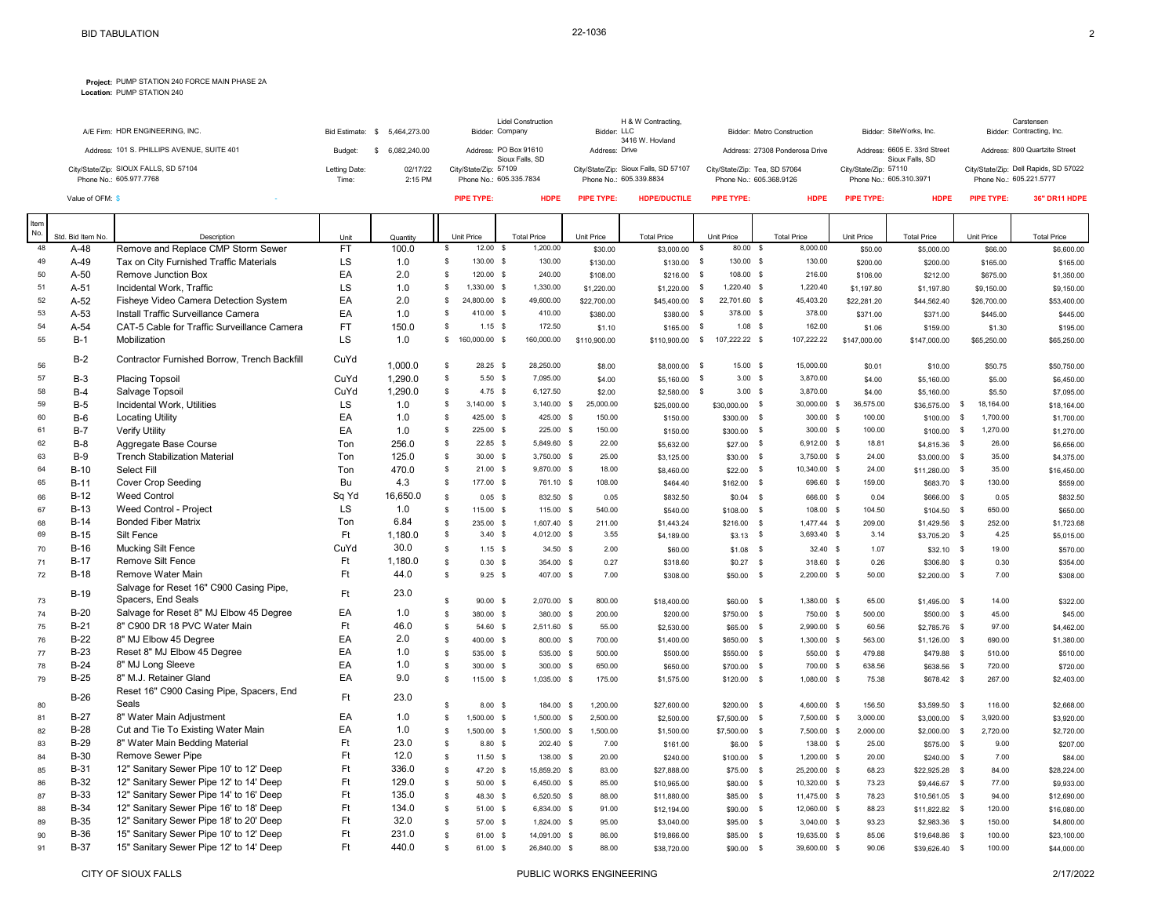**Project:** PUMP STATION 240 FORCE MAIN PHASE 2A **Location:** PUMP STATION 240

| A/E Firm: HDR ENGINEERING, INC.            | \$ 5.464,273.00<br>Bid Estimate: |                   | <b>Lidel Construction</b><br>Bidder: Company | Bidder: LLC             | H & W Contracting,<br>3416 W. Hovland | Bidder: Metro Construction     |             | Bidder: SiteWorks, Inc.      |                 |                         | Carstensen<br>Bidder: Contracting, Inc. |
|--------------------------------------------|----------------------------------|-------------------|----------------------------------------------|-------------------------|---------------------------------------|--------------------------------|-------------|------------------------------|-----------------|-------------------------|-----------------------------------------|
| Address: 101 S. PHILLIPS AVENUE, SUITE 401 | 6.082.240.00<br>Budget:          |                   | Address: PO Box 91610<br>Sioux Falls, SD     | Address: Drive          |                                       | Address: 27308 Ponderosa Drive |             | Address: 6605 E. 33rd Street | Sioux Falls, SD |                         | Address: 800 Quartzite Street           |
| City/State/Zip: SIOUX FALLS, SD 57104      | Letting Date:                    | 02/17/22          | City/State/Zip: 57109                        |                         | City/State/Zip: Sioux Falls, SD 57107 | City/State/Zip: Tea, SD 57064  |             | City/State/Zip: 57110        |                 |                         | City/State/Zip: Dell Rapids, SD 57022   |
| Phone No.: 605.977.7768                    | Time:                            | 2:15 PM           | Phone No.: 605.335.7834                      | Phone No.: 605.339.8834 |                                       | Phone No.: 605.368.9126        |             | Phone No.: 605.310.3971      |                 | Phone No.: 605.221.5777 |                                         |
| Value of OFM: \$                           |                                  | <b>PIPE TYPE:</b> | <b>HDPE</b>                                  | <b>PIPE TYPE:</b>       | <b>HDPE/DUCTILE</b>                   | <b>PIPE TYPE:</b>              | <b>HDPE</b> | <b>PIPE TYPE:</b>            | <b>HDPE</b>     | <b>PIPE TYPE:</b>       | 36" DR11 HDPE                           |

| Item     |                   |                                                               |           |          |              |                        |                          |                  |                            |                          |                             |                 |                                  |              |                  |                        |
|----------|-------------------|---------------------------------------------------------------|-----------|----------|--------------|------------------------|--------------------------|------------------|----------------------------|--------------------------|-----------------------------|-----------------|----------------------------------|--------------|------------------|------------------------|
| No.      | Std. Bid Item No. | Description                                                   | Unit      | Quantity |              | Unit Price             | <b>Total Price</b>       | Unit Price       | <b>Total Price</b>         | Unit Price               | <b>Total Price</b>          | Unit Price      | <b>Total Price</b>               |              | Unit Price       | <b>Total Price</b>     |
| 48       | A-48              | Remove and Replace CMP Storm Sewer                            | <b>FT</b> | 100.0    | s            | 12.00 \$               | 1,200.00                 | \$30.00          | \$3,000.00                 | 80.00 \$<br>$\mathbf{s}$ | 8,000.00                    | \$50.00         | \$5,000.00                       |              | \$66.00          | \$6,600.00             |
| 49       | A-49              | Tax on City Furnished Traffic Materials                       | LS        | 1.0      | $\mathbb S$  | 130.00 \$              | 130.00                   | \$130.00         | $$130.00$ \$               | 130.00 \$                | 130.00                      | \$200.00        | \$200.00                         |              | \$165.00         | \$165.00               |
| 50       | A-50              | Remove Junction Box                                           | EA        | 2.0      | s            | 120.00 \$              | 240.00                   | \$108.00         | \$216.00 \$                | 108.00 \$                | 216.00                      | \$106.00        | \$212.00                         |              | \$675.00         | \$1,350.00             |
| 51       | A-51              | Incidental Work, Traffic                                      | LS        | 1.0      | s            | 1,330.00 \$            | 1,330.00                 | \$1,220.00       | \$1,220.00                 | 1,220.40 \$<br>- \$      | 1,220.40                    | \$1,197.80      | \$1,197.80                       |              | \$9,150.00       | \$9,150.00             |
| 52       | A-52              | Fisheye Video Camera Detection System                         | EA        | 2.0      | s            | 24,800.00 \$           | 49,600.00                | \$22,700.00      | \$45,400.00 \$             | 22,701.60 \$             | 45,403.20                   | \$22,281.20     | \$44,562.40                      |              | \$26,700.00      | \$53,400.00            |
| 53       | $A-53$            | Install Traffic Surveillance Camera                           | EA        | 1.0      | s            | 410.00 \$              | 410.00                   | \$380.00         | \$380.00                   | 378.00 \$<br>- \$        | 378.00                      | \$371.00        | \$371.00                         |              | \$445.00         | \$445.00               |
| 54       | A-54              | CAT-5 Cable for Traffic Surveillance Camera                   | <b>FT</b> | 150.0    | s            | $1.15$ \$              | 172.50                   | \$1.10           | $$165.00$ \$               | $1.08$ \$                | 162.00                      | \$1.06          | \$159.00                         |              | \$1.30           | \$195.00               |
| 55       | $B-1$             | Mobilization                                                  | <b>LS</b> | 1.0      | $\mathsf{s}$ | 160,000.00 \$          | 160,000.00               | \$110,900.00     | \$110,900.00               | 107,222.22 \$<br>S,      | 107,222.22                  | \$147,000.00    | \$147,000.00                     |              | \$65,250.00      | \$65,250.00            |
| 56       | $B-2$             | Contractor Furnished Borrow. Trench Backfill                  | CuYd      | 1,000.0  | $\mathbb{S}$ | 28.25 \$               | 28,250.00                | \$8.00           | \$8,000.00 \$              | 15.00 \$                 | 15,000.00                   | \$0.01          | \$10.00                          |              | \$50.75          | \$50,750.00            |
| 57       | $B-3$             | <b>Placing Topsoil</b>                                        | CuYd      | 1,290.0  | \$           | 5.50 S                 | 7,095.00                 | \$4.00           | \$5,160.00 \$              | $3.00$ \$                | 3,870.00                    | \$4.00          | \$5,160.00                       |              | \$5.00           | \$6,450.00             |
| 58       | $B-4$             | Salvage Topsoil                                               | CuYd      | 1,290.0  | \$           | $4.75$ \$              | 6,127.50                 | \$2.00           | \$2,580.00 \$              | $3.00$ \$                | 3,870.00                    | \$4.00          | \$5,160.00                       |              | \$5.50           | \$7,095.00             |
| 59       | $B-5$             | Incidental Work, Utilities                                    | LS        | 1.0      | \$           | $3,140.00$ \$          | 3,140.00 \$              | 25,000.00        | \$25,000.00                | $$30,000.00$ \$          | 30,000.00 \$                | 36,575.00       | \$36,575.00                      | - \$         | 18,164.00        | \$18,164.00            |
| 60       | $B-6$             | <b>Locating Utility</b>                                       | EA        | 1.0      | s            | 425.00 \$              | 425.00 \$                | 150.00           | \$150.00                   | \$300.00 \$              | 300.00 \$                   | 100.00          | \$100.00                         | $\mathbb{S}$ | 1,700.00         | \$1,700.00             |
| 61       | $B-7$             | <b>Verify Utility</b>                                         | EA        | 1.0      | s            | 225.00 \$              | 225.00 \$                | 150.00           | \$150.00                   | \$300.00 \$              | 300.00 \$                   | 100.00          | $$100.00$ \$                     |              | 1,270.00         | \$1,270.00             |
| 62       | $B-8$             | Aggregate Base Course                                         | Ton       | 256.0    | \$           | $22.85$ \$             | 5,849.60 \$              | 22.00            | \$5,632.00                 | $$27.00$ \$              | 6,912.00 \$                 | 18.81           | $$4,815.36$ \$                   |              | 26.00            | \$6,656.00             |
| 63       | $B-9$             | <b>Trench Stabilization Material</b>                          | Ton       | 125.0    | \$           | 30.00 \$               | 3,750.00 \$              | 25.00            | \$3,125.00                 | \$30.00 \$               | 3,750.00 \$                 | 24.00           | \$3,000.00 \$                    |              | 35.00            | \$4,375.00             |
| 64       | $B-10$            | Select Fill                                                   | Ton       | 470.0    | \$           | $21.00$ \$             | 9,870.00 \$              | 18.00            | \$8,460.00                 | \$22.00                  | $\mathbf s$<br>10,340.00 \$ | 24.00           | $$11,280.00$ \$                  |              | 35.00            | \$16,450.00            |
| 65       | $B-11$            | <b>Cover Crop Seeding</b>                                     | Bu        | 4.3      | $\mathbb{S}$ | 177.00 \$              | 761.10 \$                | 108.00           | \$464.40                   | \$162.00 \$              | 696.60 \$                   | 159.00          | \$683.70 \$                      |              | 130.00           | \$559.00               |
| 66       | $B-12$            | <b>Weed Control</b>                                           | Sq Yd     | 16,650.0 | $\mathbb{S}$ | $0.05$ \$              | 832.50 \$                | 0.05             | \$832.50                   | $$0.04$ \$               | 666.00 \$                   | 0.04            | \$666.00 \$                      |              | 0.05             | \$832.50               |
| 67       | <b>B-13</b>       | Weed Control - Project                                        | LS        | 1.0      | $\mathbb{S}$ | 115.00 \$              | 115.00 \$                | 540.00           | \$540.00                   | \$108.00 \$              | 108.00 \$                   | 104.50          | \$104.50 \$                      |              | 650.00           | \$650.00               |
| 68       | $B-14$            | <b>Bonded Fiber Matrix</b>                                    | Ton       | 6.84     | s            | 235.00 \$              | 1,607.40 \$              | 211.00           | \$1,443.24                 | $$216.00$ \$             | 1,477.44 \$                 | 209.00          | \$1,429.56 \$                    |              | 252.00           | \$1,723.68             |
| 69       | $B-15$            | Silt Fence                                                    | Ft.       | 1,180.0  | $\mathbb{S}$ | 3.40 S                 | 4,012.00 \$              | 3.55             | \$4,189.00                 | $$3.13$ \$               | 3,693.40 \$                 | 3.14            | \$3,705.20 \$                    |              | 4.25             | \$5,015.00             |
| 70       | $B-16$            | <b>Mucking Silt Fence</b>                                     | CuYd      | 30.0     | \$           | $1.15$ \$              | 34.50 \$                 | 2.00             | \$60.00                    | $$1.08$ \$               | 32.40 \$                    | 1.07            | $$32.10$ \$                      |              | 19.00            | \$570.00               |
| 71       | $B-17$            | <b>Remove Silt Fence</b>                                      | Ft        | 1,180.0  | \$           | 0.30 S                 | 354.00 \$                | 0.27             | \$318.60                   | $$0.27$ \$               | 318.60 \$                   | 0.26            | \$306.80 \$                      |              | 0.30             | \$354.00               |
| 72       | <b>B-18</b>       | Remove Water Main                                             | Ft        | 44.0     | s.           | $9.25$ \$              | 407.00 \$                | 7.00             | \$308.00                   | \$50.00 \$               | 2,200.00 \$                 | 50.00           | \$2,200.00 \$                    |              | 7.00             | \$308.00               |
|          | <b>B-19</b>       | Salvage for Reset 16" C900 Casing Pipe,<br>Spacers, End Seals | Ft        | 23.0     |              |                        |                          |                  |                            |                          |                             |                 |                                  |              |                  |                        |
| 73       | $B-20$            | Salvage for Reset 8" MJ Elbow 45 Degree                       | EA        | 1.0      | S.<br>s      | 90.00 \$               | 2.070.00 \$              | 800.00           | \$18,400.00                | \$60.00 \$               | 1.380.00 \$                 | 65.00           | \$1,495.00 \$                    |              | 14.00            | \$322.00               |
| 74       | $B-21$            | 8" C900 DR 18 PVC Water Main                                  | Ft        | 46.0     |              | 380.00 \$              | 380.00 \$                | 200.00           | \$200.00                   | \$750.00 \$              | 750.00 \$                   | 500.00          | \$500.00 \$                      |              | 45.00            | \$45.00                |
| 75       | $B-22$            | 8" MJ Elbow 45 Degree                                         | EA        | 2.0      | \$<br>s.     | 54.60 \$               | 2,511.60 \$              | 55.00            | \$2,530.00                 | \$65.00 \$               | 2,990.00 \$                 | 60.56           | \$2,785.76 \$                    |              | 97.00            | \$4,462.00             |
| 76       | $B-23$            | Reset 8" MJ Elbow 45 Degree                                   | EA        | 1.0      | s            | 400.00 \$              | 800.00 \$                | 700.00           | \$1,400.00                 | \$650.00 \$              | $1,300.00$ \$               | 563.00          | $$1,126.00$ \$                   |              | 690.00           | \$1,380.00             |
| 77       | $B-24$            | 8" MJ Long Sleeve                                             | EA        | 1.0      | s            | 535.00 \$              | 535.00 \$                | 500.00           | \$500.00                   | \$550.00 \$              | 550.00 \$                   | 479.88          | \$479.88 \$                      |              | 510.00           | \$510.00               |
| 78<br>79 | $B-25$            | 8" M.J. Retainer Gland                                        | EA        | 9.0      | s            | 300.00 \$<br>115.00 \$ | 300.00 \$<br>1,035.00 \$ | 650.00<br>175.00 | \$650.00                   | \$700.00 \$              | 700.00 \$<br>1,080.00 \$    | 638.56<br>75.38 | \$638.56 \$                      |              | 720.00<br>267.00 | \$720.00<br>\$2,403.00 |
|          |                   | Reset 16" C900 Casing Pipe, Spacers, End                      |           |          |              |                        |                          |                  | \$1,575.00                 | $$120.00$ \$             |                             |                 | \$678.42 \$                      |              |                  |                        |
| 80       | $B-26$            | Seals                                                         | Ft        | 23.0     | s            | 8.00 S                 | 184.00 \$                | 1,200.00         |                            | \$200.00 \$              | 4,600.00 \$                 | 156.50          | \$3,599.50 \$                    |              | 116.00           | \$2,668.00             |
|          | $B-27$            | 8" Water Main Adjustment                                      | EA        | 1.0      | $\mathbb S$  | 1,500.00 \$            |                          | 2,500.00         | \$27,600.00<br>\$2,500.00  |                          |                             | 3,000.00        |                                  |              | 3,920.00         | \$3,920.00             |
| 81       | <b>B-28</b>       | Cut and Tie To Existing Water Main                            | EA        | 1.0      | $\mathbb S$  | 1,500.00 \$            | 1,500.00 \$              |                  |                            | \$7,500.00 \$            | 7,500.00 \$                 | 2,000.00        | \$3,000.00                       | $^{\circ}$   | 2,720.00         |                        |
| 82<br>83 | <b>B-29</b>       | 8" Water Main Bedding Material                                | Ft        | 23.0     | $\mathbb S$  | 8.80 \$                | 1,500.00 \$<br>202.40 \$ | 1,500.00<br>7.00 | \$1,500.00<br>\$161.00     | \$7,500.00 \$            | 7,500.00 \$<br>138.00 \$    | 25.00           | \$2,000.00                       | $\mathbf{s}$ | 9.00             | \$2,720.00<br>\$207.00 |
| 84       | <b>B-30</b>       | Remove Sewer Pipe                                             | Ft        | 12.0     | $\mathbb S$  | $11.50$ \$             | 138.00 \$                | 20.00            | \$240.00                   | $$6.00$ \$               |                             | 20.00           | \$575.00 \$                      |              | 7.00             | \$84.00                |
| 85       | <b>B-31</b>       | 12" Sanitary Sewer Pipe 10' to 12' Deep                       | Ft        | 336.0    | $\mathbb S$  | 47.20 \$               | 15,859.20 \$             | 83.00            |                            | \$100.00 \$              | 1,200.00 \$<br>25,200.00 \$ | 68.23           | \$240.00 \$<br>\$22,925.28 \$    |              | 84.00            | \$28,224.00            |
| 86       | <b>B-32</b>       | 12" Sanitary Sewer Pipe 12' to 14' Deep                       | Ft        | 129.0    | $\mathbb S$  | 50.00 \$               | 6,450.00 \$              | 85.00            | \$27,888.00                | \$75.00 \$               | 10,320.00 \$                | 73.23           |                                  |              | 77.00            | \$9,933.00             |
| 87       | <b>B-33</b>       | 12" Sanitary Sewer Pipe 14' to 16' Deep                       | Ft        | 135.0    | $\mathbb S$  | 48.30 \$               | 6,520.50 \$              | 88.00            | \$10,965.00<br>\$11,880.00 | \$80.00 \$<br>\$85.00 \$ | 11,475.00 \$                | 78.23           | \$9,446.67 \$<br>\$10,561.05 \$  |              | 94.00            | \$12,690.00            |
| 88       | <b>B-34</b>       | 12" Sanitary Sewer Pipe 16' to 18' Deep                       | Ft        | 134.0    | s            | $51.00$ \$             | 6,834.00 \$              | 91.00            |                            |                          | 12,060.00 \$                | 88.23           |                                  |              | 120.00           | \$16,080.00            |
| 89       | <b>B-35</b>       | 12" Sanitary Sewer Pipe 18' to 20' Deep                       | Ft        | 32.0     | s            | 57.00 \$               | 1,824.00 \$              | 95.00            | \$12,194.00<br>\$3,040.00  | \$90.00 \$<br>\$95.00 \$ | $3,040.00$ \$               | 93.23           | \$11,822.82 \$<br>\$2,983.36 \$  |              | 150.00           | \$4,800.00             |
| 90       | <b>B-36</b>       | 15" Sanitary Sewer Pipe 10' to 12' Deep                       | Ft        | 231.0    | s            | 61.00 \$               | 14,091.00 \$             | 86.00            |                            |                          | 19,635.00 \$                | 85.06           |                                  |              | 100.00           | \$23,100.00            |
| 91       | <b>B-37</b>       | 15" Sanitary Sewer Pipe 12' to 14' Deep                       | Ft        | 440.0    | $\mathbf{s}$ | 61.00 \$               | 26,840.00 \$             | 88.00            | \$19,866.00<br>\$38,720.00 | \$85.00 \$<br>\$90.00 \$ | 39,600.00 \$                | 90.06           | \$19,648.86 \$<br>\$39,626.40 \$ |              | 100.00           | \$44,000.00            |
|          |                   |                                                               |           |          |              |                        |                          |                  |                            |                          |                             |                 |                                  |              |                  |                        |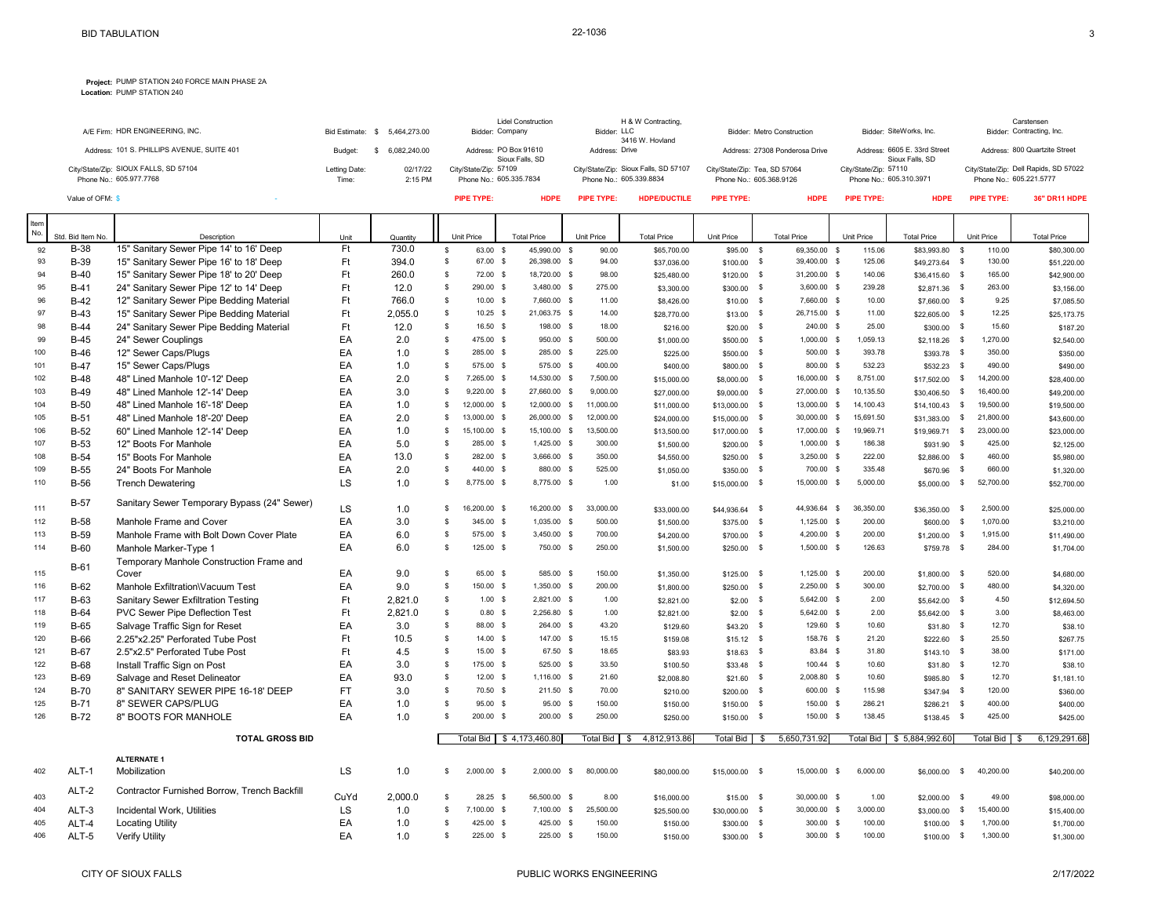**Project:** PUMP STATION 240 FORCE MAIN PHASE 2A **Location:** PUMP STATION 240

|                                            |                               |              |                                          | <b>Lidel Construction</b> |                         | H & W Contracting.                    |                                   |             |                              |                 |                         | Carstensen                            |
|--------------------------------------------|-------------------------------|--------------|------------------------------------------|---------------------------|-------------------------|---------------------------------------|-----------------------------------|-------------|------------------------------|-----------------|-------------------------|---------------------------------------|
| A/E Firm: HDR ENGINEERING, INC.            | Bid Estimate: \$ 5.464.273.00 |              | Bidder: Company                          |                           | Bidder: LLC             | 3416 W. Hovland                       | <b>Bidder: Metro Construction</b> |             | Bidder: SiteWorks, Inc.      |                 |                         | Bidder: Contracting, Inc.             |
| Address: 101 S. PHILLIPS AVENUE, SUITE 401 | Budget:                       | 6.082.240.00 | Address: PO Box 91610<br>Sioux Falls, SD |                           | Address: Drive          |                                       | Address: 27308 Ponderosa Drive    |             | Address: 6605 E. 33rd Street | Sioux Falls, SD |                         | Address: 800 Quartzite Street         |
| City/State/Zip: SIOUX FALLS, SD 57104      | Letting Date:                 | 02/17/22     | City/State/Zip: 57109                    |                           |                         | City/State/Zip: Sioux Falls, SD 57107 | City/State/Zip: Tea, SD 57064     |             | City/State/Zip: 57110        |                 |                         | City/State/Zip: Dell Rapids, SD 57022 |
| Phone No.: 605,977,7768                    | Time:                         | 2:15 PM      | Phone No.: 605.335.7834                  |                           | Phone No.: 605.339.8834 |                                       | Phone No.: 605.368.9126           |             | Phone No.: 605.310.3971      |                 | Phone No.: 605.221.5777 |                                       |
| Value of OFM: \$                           |                               |              | PIPE TYPE:                               | <b>HDPE</b>               | <b>PIPE TYPE:</b>       | <b>HDPE/DUCTILE</b>                   | PIPE TYPE:                        | <b>HDPE</b> | PIPE TYPE:                   | HDPE            | <b>PIPE TYPE:</b>       | <b>36" DR11 HDPE</b>                  |

| Item |                  |                                                     |           |          |              |                   |                    |                  |                    |                   |                             |                  |                         |              |                  |                    |
|------|------------------|-----------------------------------------------------|-----------|----------|--------------|-------------------|--------------------|------------------|--------------------|-------------------|-----------------------------|------------------|-------------------------|--------------|------------------|--------------------|
| No.  | Std. Bid Item No | Description                                         | Unit      | Quantity |              | <b>Unit Price</b> | <b>Total Price</b> | Unit Price       | <b>Total Price</b> | <b>Unit Price</b> | <b>Total Price</b>          | Unit Price       | <b>Total Price</b>      |              | Unit Price       | <b>Total Price</b> |
| 92   | <b>B-38</b>      | 15" Sanitary Sewer Pipe 14' to 16' Deep             | Ft        | 730.0    | $\mathsf{s}$ | 63.00 \$          | 45.990.00 \$       | 90.00            | \$65,700.00        | \$95.00 \$        | 69,350.00 \$                | 115.06           | \$83,993,80 \$          |              | 110.00           | \$80,300.00        |
| 93   | <b>B-39</b>      | 15" Sanitary Sewer Pipe 16' to 18' Deep             | Ft        | 394.0    | \$           | 67.00 \$          | 26,398.00 \$       | 94.00            | \$37,036.00        | $$100.00$ \$      | 39,400.00 \$                | 125.06           | \$49,273.64 \$          |              | 130.00           | \$51,220.00        |
| 94   | $B-40$           | 15" Sanitary Sewer Pipe 18' to 20' Deep             | Ft        | 260.0    | $\mathbb S$  | 72.00 \$          | 18,720.00 \$       | 98.00            | \$25,480.00        | $$120.00$ \$      | 31,200.00 \$                | 140.06           | \$36,415.60 \$          |              | 165.00           | \$42,900.00        |
| 95   | $B-41$           | 24" Sanitary Sewer Pipe 12' to 14' Deep             | Ft.       | 12.0     | $\mathbb S$  | 290.00 \$         | 3,480.00 \$        | 275.00           | \$3,300.00         | \$300.00 \$       | 3,600.00 \$                 | 239.28           | $$2,871.36$ \$          |              | 263.00           | \$3,156.00         |
| 96   | $B-42$           | 12" Sanitary Sewer Pipe Bedding Material            | Ft        | 766.0    | $\mathbb S$  | $10.00$ \$        | 7,660.00 \$        | 11.00            | \$8,426.00         | $$10.00$ \$       | 7,660.00 \$                 |                  | 10.00<br>\$7,660.00 \$  |              | 9.25             | \$7,085.50         |
| 97   | $B-43$           | 15" Sanitary Sewer Pipe Bedding Material            | Ft        | 2.055.0  | $\mathbb S$  | $10.25$ \$        | 21,063.75 \$       | 14.00            | \$28,770.00        | $$13.00$ \$       | 26,715.00 \$                |                  | 11.00<br>\$22,605.00 \$ |              | 12.25            | \$25,173.75        |
| 98   | $B-44$           | 24" Sanitary Sewer Pipe Bedding Material            | Ft.       | 12.0     | $\mathbb S$  | 16.50 \$          | 198.00 \$          | 18.00            | \$216.00           | $$20.00$ \$       | 240.00 \$                   |                  | 25.00<br>\$300.00 \$    |              | 15.60            | \$187.20           |
| 99   | $B-45$           | 24" Sewer Couplings                                 | EA        | 2.0      | s            | 475.00 \$         | 950.00 \$          | 500.00           | \$1,000.00         | \$500.00          | $\mathbf{s}$<br>1,000.00 \$ | 1,059.13         | $$2,118.26$ \$          |              | 1,270.00         | \$2,540.00         |
| 100  | $B-46$           | 12" Sewer Caps/Plugs                                | EA        | 1.0      | $\mathbb S$  | 285.00 \$         | 285.00 \$          | 225.00           | \$225.00           | \$500.00          | 500.00 \$<br>$\mathbb{S}$   | 393.78           | \$393.78 \$             |              | 350.00           | \$350.00           |
| 101  | $B-47$           | 15" Sewer Caps/Plugs                                | EA        | 1.0      | s            | 575.00 \$         | 575.00 \$          | 400.00           | \$400.00           | \$800.00          | 800.00 \$<br>$\mathbb{S}$   | 532.23           | \$532.23                | $\mathbf{s}$ | 490.00           | \$490.00           |
| 102  | $B-48$           | 48" Lined Manhole 10'-12' Deep                      | EA        | 2.0      | \$           | 7,265.00 \$       | 14,530.00 \$       | 7,500.00         | \$15,000.00        | \$8,000.00 \$     | 16,000.00 \$                | 8,751.00         | \$17,502.00             | $\mathbb{S}$ | 14,200.00        | \$28,400.00        |
| 103  | $B-49$           | 48" Lined Manhole 12'-14' Deep                      | EA        | 3.0      | s            | 9,220.00 \$       | 27,660.00 \$       | 9,000.00         | \$27,000.00        | $$9,000.00$ \$    | 27,000.00 \$                | 10,135.50        | \$30,406.50             | -S           | 16,400.00        | \$49,200.00        |
| 104  | $B-50$           | 48" Lined Manhole 16'-18' Deep                      | EA        | 1.0      | s            | 12,000.00 \$      | 12,000.00 \$       | 11,000.00        | \$11,000.00        | \$13,000.00 \$    | 13,000.00 \$                | 14,100.43        | \$14,100.43             | $\sqrt{3}$   | 19,500.00        | \$19,500.00        |
| 105  | $B-51$           | 48" Lined Manhole 18'-20' Deep                      | EA        | 2.0      | \$.          | 13,000.00 \$      | 26,000.00 \$       | 12,000.00        | \$24,000.00        | \$15,000.00 \$    | 30,000.00 \$                | 15,691.50        | \$31,383.00             | - \$         | 21,800.00        | \$43,600.00        |
| 106  | $B-52$           | 60" Lined Manhole 12'-14' Deep                      | EA        | 1.0      | s            | 15,100.00 \$      | 15,100.00 \$       | 13,500.00        | \$13,500.00        | \$17,000.00 \$    | 17,000.00 \$                | 19,969.71        | \$19,969.71 \$          |              | 23,000.00        | \$23,000.00        |
| 107  | <b>B-53</b>      | 12" Boots For Manhole                               | EA        | 5.0      | s            | 285.00 \$         | 1,425.00 \$        | 300.00           | \$1,500.00         | $$200.00$ \$      | 1,000.00 \$                 | 186.38           | \$931.90 \$             |              | 425.00           | \$2,125.00         |
| 108  | $B-54$           | 15" Boots For Manhole                               | EA        | 13.0     | s            | 282.00 \$         | 3,666.00 \$        | 350.00           | \$4,550.00         | \$250.00 \$       | 3,250.00 \$                 | 222.00           | \$2,886.00 \$           |              | 460.00           | \$5,980.00         |
| 109  | <b>B-55</b>      | 24" Boots For Manhole                               | EA        | 2.0      | s            | 440.00 \$         | 880.00 \$          | 525.00           | \$1,050.00         | \$350.00 \$       | 700.00 \$                   | 335.48           | \$670.96 \$             |              | 660.00           | \$1,320.00         |
| 110  | <b>B-56</b>      | <b>Trench Dewatering</b>                            | <b>LS</b> | 1.0      | s            | 8,775.00 \$       | 8,775.00 \$        | 1.00             | \$1.00             | \$15,000.00 \$    | 15,000.00 \$                | 5,000.00         | \$5,000.00              | - \$         | 52,700.00        | \$52,700.00        |
|      |                  |                                                     |           |          |              |                   |                    |                  |                    |                   |                             |                  |                         |              |                  |                    |
| 111  | $B-57$           | Sanitary Sewer Temporary Bypass (24" Sewer)         | LS        | 1.0      | s.           | 16.200.00 \$      | 16,200.00 \$       | 33,000.00        | \$33,000.00        | $$44,936.64$ \$   | 44,936.64 \$                | 36,350.00        | \$36,350.00             | -S           | 2,500.00         | \$25,000.00        |
| 112  | <b>B-58</b>      | Manhole Frame and Cover                             | EA        | 3.0      | $\mathbb S$  | 345.00 \$         | 1,035.00 \$        | 500.00           | \$1,500.00         | \$375.00 \$       | 1,125.00 \$                 | 200.00           | \$600.00                | $\mathbf{s}$ | 1,070.00         | \$3,210.00         |
| 113  | <b>B-59</b>      | Manhole Frame with Bolt Down Cover Plate            | EA        | 6.0      | \$           | 575.00 \$         | 3,450.00 \$        | 700.00           | \$4,200.00         | \$700.00 \$       | 4,200.00 \$                 | 200.00           | $$1,200.00$ \$          |              | 1,915.00         | \$11,490.00        |
| 114  | <b>B-60</b>      | Manhole Marker-Type 1                               | EA        | 6.0      | s            | 125.00 \$         | 750.00 \$          | 250.00           | \$1,500.00         | \$250.00 \$       | 1,500.00 \$                 | 126.63           | \$759.78 \$             |              | 284.00           | \$1,704.00         |
|      |                  | Temporary Manhole Construction Frame and            |           |          |              |                   |                    |                  |                    |                   |                             |                  |                         |              |                  |                    |
| 115  | B-61             | Cover                                               | EA        | 9.0      | s            | 65.00 \$          | 585.00 \$          | 150.00           | \$1,350.00         | $$125.00$ \$      | 1,125.00 \$                 | 200.00           | $$1,800.00$ \$          |              | 520.00           | \$4,680.00         |
| 116  | $B-62$           | Manhole Exfiltration\Vacuum Test                    | EA        | 9.0      | $\mathbb S$  | 150.00 \$         | 1,350.00 \$        | 200.00           | \$1,800.00         | \$250.00 \$       | 2,250.00 \$                 | 300.00           | \$2,700.00 \$           |              | 480.00           | \$4,320.00         |
| 117  | B-63             | Sanitary Sewer Exfiltration Testing                 | Ft        | 2.821.0  | $\mathbb S$  | 1.00 S            | 2.821.00 \$        | 1.00             | \$2,821.00         | $$2.00$ \$        | 5.642.00 \$                 |                  | 2.00<br>\$5,642.00 \$   |              | 4.50             | \$12,694.50        |
| 118  | <b>B-64</b>      | PVC Sewer Pipe Deflection Test                      | Ft        | 2,821.0  | \$           | $0.80\quad$ \$    | 2,256.80 \$        | 1.00             | \$2,821.00         | $$2.00$ \$        | 5,642.00 \$                 |                  | 2.00<br>\$5,642.00 \$   |              | 3.00             | \$8,463.00         |
| 119  | <b>B-65</b>      | Salvage Traffic Sign for Reset                      | EA        | 3.0      | $\mathbb S$  | 88.00 \$          | 264.00 \$          | 43.20            | \$129.60           | $$43.20$ \$       | 129.60 \$                   |                  | 10.60<br>$$31.80$ \$    |              | 12.70            | \$38.10            |
| 120  | B-66             | 2.25"x2.25" Perforated Tube Post                    | Ft.       | 10.5     | $\mathbb S$  | $14.00$ \$        | 147.00 \$          | 15.15            | \$159.08           | $$15.12$ \$       | 158.76 \$                   |                  | 21.20<br>$$222.60$ \$   |              | 25.50            | \$267.75           |
| 121  | B-67             | 2.5"x2.5" Perforated Tube Post                      | Ft        | 4.5      | s            | 15.00 \$          | 67.50 \$           | 18.65            | \$83.93            | $$18.63$ \$       | 83.84 \$                    |                  | 31.80<br>$$143.10$ \$   |              | 38.00            | \$171.00           |
| 122  | <b>B-68</b>      | Install Traffic Sign on Post                        | EA        | 3.0      | s            | 175.00 \$         | 525.00 \$          | 33.50            | \$100.50           | $$33.48$ \$       | 100.44 \$                   |                  | 10.60<br>$$31.80$ \$    |              | 12.70            | \$38.10            |
| 123  | <b>B-69</b>      | Salvage and Reset Delineator                        | EA        | 93.0     | $\mathbb S$  | $12.00$ \$        | 1,116.00 \$        | 21.60            | \$2,008.80         | $$21.60$ \$       | 2,008.80 \$                 |                  | 10.60<br>\$985.80 \$    |              | 12.70            | \$1,181.10         |
| 124  | <b>B-70</b>      | 8" SANITARY SEWER PIPE 16-18' DEEP                  | <b>FT</b> | 3.0      | $\mathsf{s}$ | 70.50 \$          | 211.50 \$          | 70.00            | \$210.00           | \$200.00          | 600.00 \$<br>$\mathbf{s}$   | 115.98           | $$347.94$ \$            |              | 120.00           | \$360.00           |
| 125  | $B-71$           | 8" SEWER CAPS/PLUG                                  | EA        | 1.0      | $\mathbb S$  | 95.00 \$          | 95.00 \$           | 150.00           | \$150.00           | \$150.00          | \$<br>150.00 \$             | 286.21           | $$286.21$ \$            |              | 400.00           | \$400.00           |
| 126  | $B-72$           | 8" BOOTS FOR MANHOLE                                | EA        | 1.0      | s.           | 200.00 \$         | 200.00 \$          | 250.00           | \$250.00           | \$150.00          | 150.00 \$<br>$\mathbf s$    | 138.45           | \$138.45                | $\mathbf{s}$ | 425.00           | \$425.00           |
|      |                  |                                                     |           |          |              |                   |                    |                  |                    |                   |                             |                  |                         |              |                  |                    |
|      |                  | <b>TOTAL GROSS BID</b>                              |           |          |              | <b>Total Bid</b>  | \$4,173,460.80     | <b>Total Bid</b> | 4,812,913.86<br>\$ | <b>Total Bid</b>  | 5,650,731.92<br>\$          | <b>Total Bid</b> | \$5,884,992.60          |              | <b>Total Bid</b> | 6,129,291.68       |
|      |                  | <b>ALTERNATE 1</b>                                  |           |          |              |                   |                    |                  |                    |                   |                             |                  |                         |              |                  |                    |
| 402  | ALT-1            | Mobilization                                        | LS        | 1.0      | s.           | 2,000.00 \$       | 2,000.00 \$        | 80,000.00        | \$80,000.00        | $$15,000.00$ \$   | 15,000.00 \$                | 6,000.00         | \$6,000.00              | - \$         | 40,200.00        | \$40,200.00        |
|      | ALT-2            | <b>Contractor Furnished Borrow. Trench Backfill</b> |           |          |              |                   |                    |                  |                    |                   |                             |                  |                         |              |                  |                    |
| 403  |                  |                                                     | CuYd      | 2,000.0  | s            | 28.25 \$          | 56,500.00 \$       | 8.00             | \$16,000.00        | $$15.00$ \$       | 30,000.00 \$                |                  | 1.00<br>\$2,000.00      | $\mathbf{s}$ | 49.00            | \$98,000.00        |
| 404  | ALT-3            | Incidental Work, Utilities                          | <b>LS</b> | 1.0      | $\mathbb S$  | 7,100.00 \$       | 7,100.00 \$        | 25,500.00        | \$25,500.00        | \$30,000.00 \$    | 30,000.00 \$                | 3,000.00         | \$3,000.00              | - \$         | 15,400.00        | \$15,400.00        |
| 405  | ALT-4            | <b>Locating Utility</b>                             | EA        | 1.0      | s            | 425.00 \$         | 425.00 \$          | 150.00           | \$150.00           | $$300.00$ \$      | 300.00 \$                   | 100.00           | \$100.00                | - \$         | 1,700.00         | \$1,700.00         |
| 406  | ALT-5            | <b>Verify Utility</b>                               | EA        | 1.0      | \$.          | 225.00 \$         | 225.00 \$          | 150.00           | \$150.00           | $$300.00$ \$      | 300.00 \$                   | 100.00           | \$100.00                | $\mathbf{s}$ | 1,300.00         | \$1,300.00         |